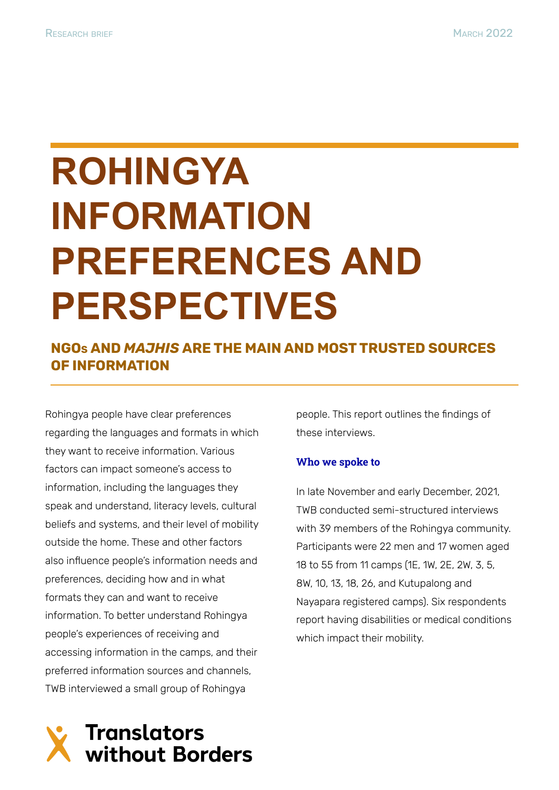# **ROHINGYA INFORMATION PREFERENCES AND PERSPECTIVES**

### **NGO<sup>S</sup> AND** *MAJHIS* **ARE THE MAIN AND MOST TRUSTED SOURCES OF INFORMATION**

Rohingya people have clear preferences regarding the languages and formats in which they want to receive information. Various factors can impact someone's access to information, including the languages they speak and understand, literacy levels, cultural beliefs and systems, and their level of mobility outside the home. These and other factors also influence people's information needs and preferences, deciding how and in what formats they can and want to receive information. To better understand Rohingya people's experiences of receiving and accessing information in the camps, and their preferred information sources and channels, TWB interviewed a small group of Rohingya

people. This report outlines the findings of these interviews.

#### **Who we spoke to**

In late November and early December, 2021, TWB conducted semi-structured interviews with 39 members of the Rohingya community. Participants were 22 men and 17 women aged 18 to 55 from 11 camps (1E, 1W, 2E, 2W, 3, 5, 8W, 10, 13, 18, 26, and Kutupalong and Nayapara registered camps). Six respondents report having disabilities or medical conditions which impact their mobility.

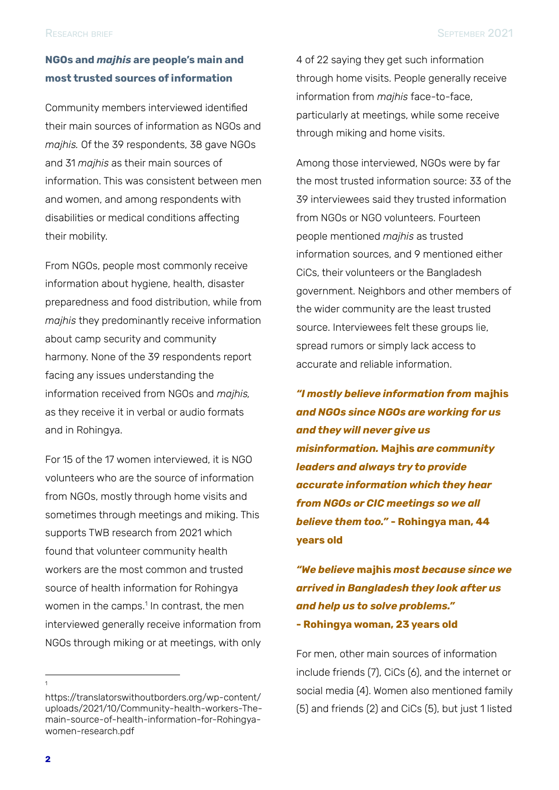#### **NGOs and** *majhis* **are people's main and most trusted sources of information**

Community members interviewed identified their main sources of information as NGOs and *majhis.* Of the 39 respondents, 38 gave NGOs and 31 *majhis* as their main sources of information. This was consistent between men and women, and among respondents with disabilities or medical conditions affecting their mobility.

From NGOs, people most commonly receive information about hygiene, health, disaster preparedness and food distribution, while from *majhis* they predominantly receive information about camp security and community harmony. None of the 39 respondents report facing any issues understanding the information received from NGOs and *majhis,* as they receive it in verbal or audio formats and in Rohingya.

For 15 of the 17 women interviewed, it is NGO volunteers who are the source of information from NGOs, mostly through home visits and sometimes through meetings and miking. This supports TWB research from 2021 which found that volunteer community health workers are the most common and trusted source of health information for Rohingya women in the camps. $1$  In contrast, the men interviewed generally receive information from NGOs through miking or at meetings, with only

https://translatorswithoutborders.org/wp-content/ uploads/2021/10/Community-health-workers-Themain-source-of-health-information-for-Rohingyawomen-research.pdf

4 of 22 saying they get such information through home visits. People generally receive information from *majhis* face-to-face, particularly at meetings, while some receive through miking and home visits.

Among those interviewed, NGOs were by far the most trusted information source: 33 of the 39 interviewees said they trusted information from NGOs or NGO volunteers. Fourteen people mentioned *majhis* as trusted information sources, and 9 mentioned either CiCs, their volunteers or the Bangladesh government. Neighbors and other members of the wider community are the least trusted source. Interviewees felt these groups lie, spread rumors or simply lack access to accurate and reliable information.

*"I mostly believe information from* **majhis** *and NGOs since NGOs are working for us and they will never give us misinformation.* **Majhis** *are community leaders and always try to provide accurate information which they hear from NGOs or CIC meetings so we all believe them too."* **- Rohingya man, 44 years old**

*"We believe* **majhis** *most because since we arrived in Bangladesh they look after us and help us to solve problems."* **- Rohingya woman, 23 years old**

For men, other main sources of information include friends (7), CiCs (6), and the internet or social media (4). Women also mentioned family (5) and friends (2) and CiCs (5), but just 1 listed

<sup>1</sup>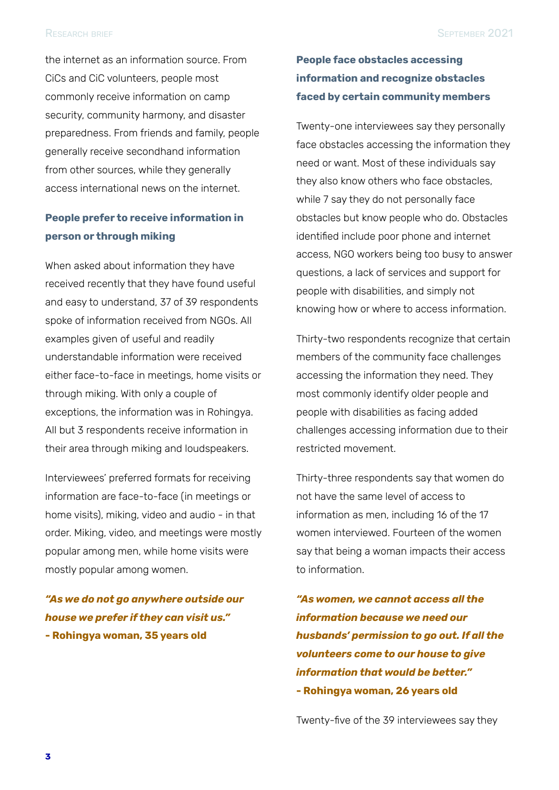the internet as an information source. From CiCs and CiC volunteers, people most commonly receive information on camp security, community harmony, and disaster preparedness. From friends and family, people generally receive secondhand information from other sources, while they generally access international news on the internet.

#### **People prefer to receive information in person or through miking**

When asked about information they have received recently that they have found useful and easy to understand, 37 of 39 respondents spoke of information received from NGOs. All examples given of useful and readily understandable information were received either face-to-face in meetings, home visits or through miking. With only a couple of exceptions, the information was in Rohingya. All but 3 respondents receive information in their area through miking and loudspeakers.

Interviewees' preferred formats for receiving information are face-to-face (in meetings or home visits), miking, video and audio - in that order. Miking, video, and meetings were mostly popular among men, while home visits were mostly popular among women.

*"As we do not go anywhere outside our house we prefer if they can visit us."* **- Rohingya woman, 35 years old**

#### **People face obstacles accessing information and recognize obstacles faced by certain community members**

Twenty-one interviewees say they personally face obstacles accessing the information they need or want. Most of these individuals say they also know others who face obstacles, while 7 say they do not personally face obstacles but know people who do. Obstacles identified include poor phone and internet access, NGO workers being too busy to answer questions, a lack of services and support for people with disabilities, and simply not knowing how or where to access information.

Thirty-two respondents recognize that certain members of the community face challenges accessing the information they need. They most commonly identify older people and people with disabilities as facing added challenges accessing information due to their restricted movement.

Thirty-three respondents say that women do not have the same level of access to information as men, including 16 of the 17 women interviewed. Fourteen of the women say that being a woman impacts their access to information.

*"As women, we cannot access all the information because we need our husbands' permission to go out. If all the volunteers come to our house to give information that would be better."* **- Rohingya woman, 26 years old**

Twenty-five of the 39 interviewees say they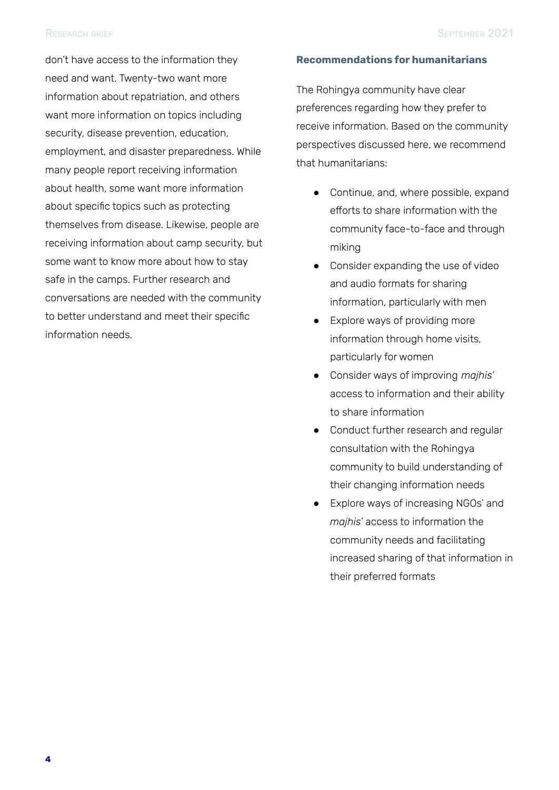don't have access to the information they need and want. Twenty-two want more information about repatriation, and others want more information on topics including security, disease prevention, education, employment, and disaster preparedness. While many people report receiving information about health, some want more information about specific topics such as protecting themselves from disease. Likewise, people are receiving information about camp security, but some want to know more about how to stay safe in the camps. Further research and conversations are needed with the community to better understand and meet their specific information needs.

#### **Recommendations for humanitarians**

The Rohingya community have clear preferences regarding how they prefer to receive information. Based on the community perspectives discussed here, we recommend that humanitarians:

- Continue, and, where possible, expand efforts to share information with the community face-to-face and through miking
- Consider expanding the use of video and audio formats for sharing information, particularly with men
- Explore ways of providing more information through home visits, particularly for women
- Consider ways of improving *majhis'* access to information and their ability to share information
- Conduct further research and regular consultation with the Rohingya community to build understanding of their changing information needs
- Explore ways of increasing NGOs' and *majhis'* access to information the community needs and facilitating increased sharing of that information in their preferred formats